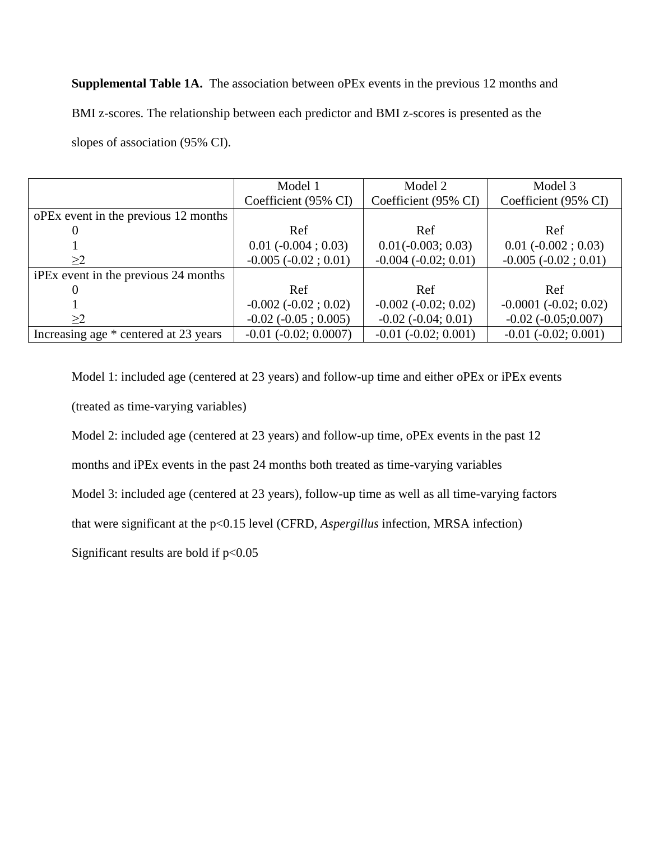**Supplemental Table 1A.** The association between oPEx events in the previous 12 months and

BMI z-scores. The relationship between each predictor and BMI z-scores is presented as the

slopes of association (95% CI).

|                                       | Model 1                    | Model 2                  | Model 3                  |
|---------------------------------------|----------------------------|--------------------------|--------------------------|
|                                       | Coefficient (95% CI)       | Coefficient (95% CI)     | Coefficient (95% CI)     |
| oPEx event in the previous 12 months  |                            |                          |                          |
|                                       | Ref                        | Ref                      | Ref                      |
|                                       | $0.01 (-0.004 ; 0.03)$     | $0.01(-0.003; 0.03)$     | $0.01 (-0.002 ; 0.03)$   |
| >2                                    | $-0.005 (-0.02 ; 0.01)$    | $-0.004 (-0.02; 0.01)$   | $-0.005 (-0.02 ; 0.01)$  |
| iPEx event in the previous 24 months  |                            |                          |                          |
|                                       | Ref                        | Ref                      | Ref                      |
|                                       | $-0.002 (-0.02 ; 0.02)$    | $-0.002 (-0.02; 0.02)$   | $-0.0001 (-0.02; 0.02)$  |
| $\geq$ 2                              | $-0.02$ ( $-0.05$ ; 0.005) | $-0.02$ $(-0.04; 0.01)$  | $-0.02$ $(-0.05;0.007)$  |
| Increasing age * centered at 23 years | $-0.01$ $(-0.02; 0.0007)$  | $-0.01$ $(-0.02; 0.001)$ | $-0.01$ $(-0.02; 0.001)$ |

Model 1: included age (centered at 23 years) and follow-up time and either oPEx or iPEx events (treated as time-varying variables)

Model 2: included age (centered at 23 years) and follow-up time, oPEx events in the past 12

months and iPEx events in the past 24 months both treated as time-varying variables

Model 3: included age (centered at 23 years), follow-up time as well as all time-varying factors

that were significant at the p<0.15 level (CFRD, *Aspergillus* infection, MRSA infection)

Significant results are bold if  $p<0.05$